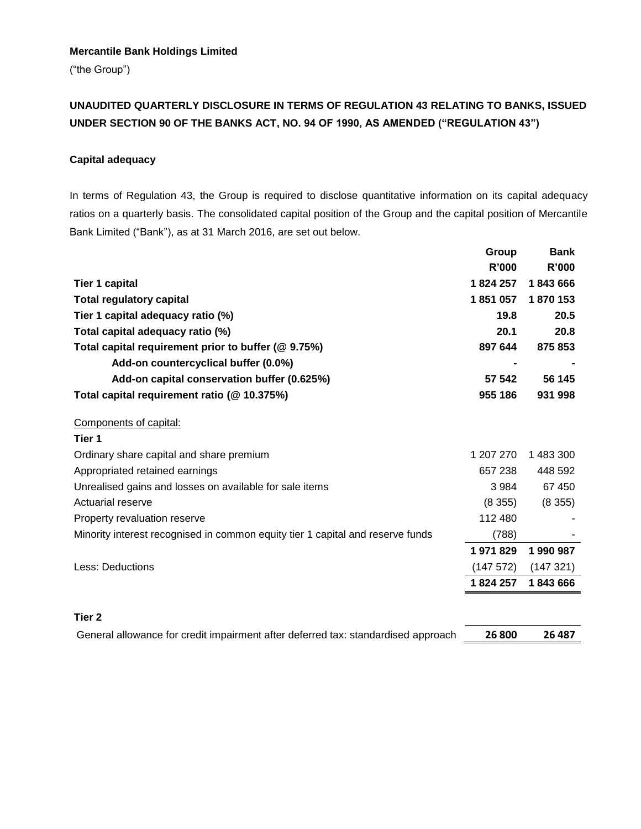### **Mercantile Bank Holdings Limited**

("the Group")

# **UNAUDITED QUARTERLY DISCLOSURE IN TERMS OF REGULATION 43 RELATING TO BANKS, ISSUED UNDER SECTION 90 OF THE BANKS ACT, NO. 94 OF 1990, AS AMENDED ("REGULATION 43")**

### **Capital adequacy**

In terms of Regulation 43, the Group is required to disclose quantitative information on its capital adequacy ratios on a quarterly basis. The consolidated capital position of the Group and the capital position of Mercantile Bank Limited ("Bank"), as at 31 March 2016, are set out below.

|                                                                                | Group     | <b>Bank</b>  |
|--------------------------------------------------------------------------------|-----------|--------------|
|                                                                                | R'000     | <b>R'000</b> |
| Tier 1 capital                                                                 | 1824257   | 1843666      |
| <b>Total regulatory capital</b>                                                | 1851057   | 1870 153     |
| Tier 1 capital adequacy ratio (%)                                              | 19.8      | 20.5         |
| Total capital adequacy ratio (%)                                               | 20.1      | 20.8         |
| Total capital requirement prior to buffer (@ 9.75%)                            | 897 644   | 875 853      |
| Add-on countercyclical buffer (0.0%)                                           |           |              |
| Add-on capital conservation buffer (0.625%)                                    | 57 542    | 56 145       |
| Total capital requirement ratio (@ 10.375%)                                    | 955 186   | 931 998      |
| Components of capital:                                                         |           |              |
| Tier 1                                                                         |           |              |
| Ordinary share capital and share premium                                       | 1 207 270 | 1 483 300    |
| Appropriated retained earnings                                                 | 657 238   | 448 592      |
| Unrealised gains and losses on available for sale items                        | 3984      | 67 450       |
| Actuarial reserve                                                              | (8355)    | (8355)       |
| Property revaluation reserve                                                   | 112 480   |              |
| Minority interest recognised in common equity tier 1 capital and reserve funds | (788)     |              |
|                                                                                | 1971829   | 1990987      |
| Less: Deductions                                                               | (147572)  | (147321)     |
|                                                                                | 1824257   | 1843666      |
|                                                                                |           |              |

#### **Tier 2**

General allowance for credit impairment after deferred tax: standardised approach **26 800 26 487**